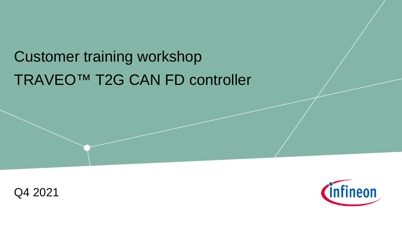# TRAVEO™ T2G CAN FD controller Customer training workshop



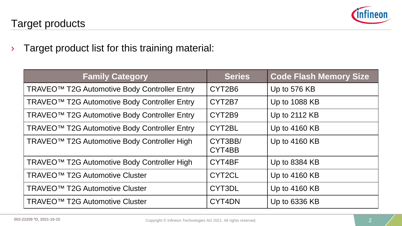

› Target product list for this training material:

| <b>Family Category</b>                                   | <b>Series</b>     | <b>Code Flash Memory Size</b> |
|----------------------------------------------------------|-------------------|-------------------------------|
| TRAVEO <sup>™</sup> T2G Automotive Body Controller Entry | CYT2B6            | Up to 576 KB                  |
| TRAVEO <sup>™</sup> T2G Automotive Body Controller Entry | CYT2B7            | Up to 1088 KB                 |
| TRAVEO <sup>™</sup> T2G Automotive Body Controller Entry | CYT2B9            | Up to 2112 KB                 |
| TRAVEO <sup>™</sup> T2G Automotive Body Controller Entry | CYT2BL            | Up to 4160 KB                 |
| TRAVEO <sup>™</sup> T2G Automotive Body Controller High  | CYT3BB/<br>CYT4BB | Up to 4160 KB                 |
| TRAVEO <sup>™</sup> T2G Automotive Body Controller High  | CYT4BF            | Up to 8384 KB                 |
| TRAVEO <sup>™</sup> T2G Automotive Cluster               | CYT2CL            | Up to 4160 KB                 |
| TRAVEO <sup>™</sup> T2G Automotive Cluster               | CYT3DL            | Up to 4160 KB                 |
| TRAVEO <sup>™</sup> T2G Automotive Cluster               | CYT4DN            | Up to 6336 KB                 |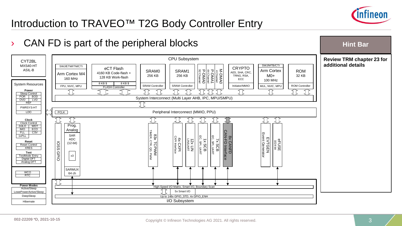

**Hint Bar** 

## Introduction to TRAVEO™ T2G Body Controller Entry

### › CAN FD is part of the peripheral blocks

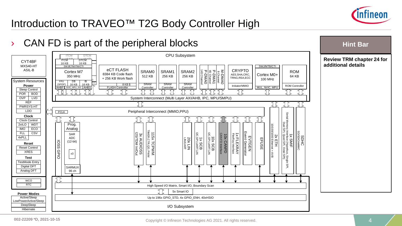

### Introduction to TRAVEO™ T2G Body Controller High

### CAN FD is part of the peripheral blocks



### **Hint Bar**

### **Review TRM chapter 24 for additional details**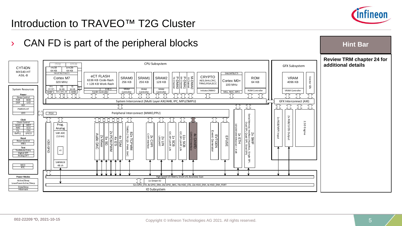

### Introduction to TRAVEO™ T2G Cluster

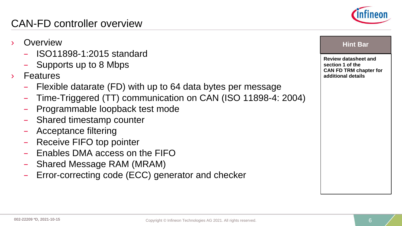### – Shared Message RAM (MRAM)

**Overview** 

**Features** 

– Error-correcting code (ECC) generator and checker

– Flexible datarate (FD) with up to 64 data bytes per message

– Time-Triggered (TT) communication on CAN (ISO 11898-4: 2004)

### CAN-FD controller overview

– Supports up to 8 Mbps

– ISO11898-1:2015 standard

– Shared timestamp counter

– Receive FIFO top pointer

– Acceptance filtering

– Programmable loopback test mode

– Enables DMA access on the FIFO

**Review datasheet and section 1 of the CAN FD TRM chapter for additional details Hint Bar** 

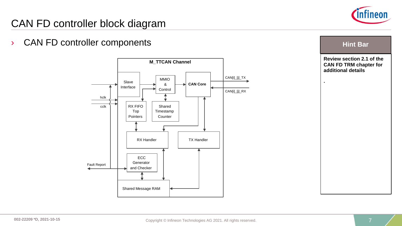

### CAN FD controller block diagram

› CAN FD controller components



**Hint Bar** 

**Review section 2.1 of the CAN FD TRM chapter for additional details**

**.**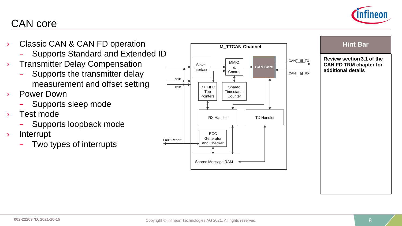

### CAN core

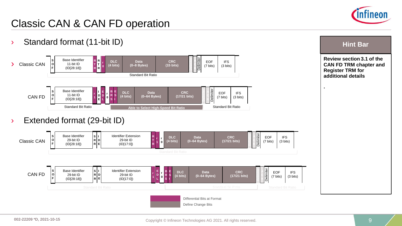

**Review section 3.1 of the CAN FD TRM chapter and** 

**Hint Bar** 

**Register TRM for additional details**

**.**

### Classic CAN & CAN FD operation

› Standard format (11-bit ID)

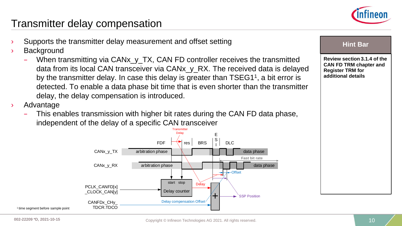

### Transmitter delay compensation

- Supports the transmitter delay measurement and offset setting
- **Background** 
	- When transmitting via CANx\_y\_TX, CAN FD controller receives the transmitted data from its local CAN transceiver via CANx\_y\_RX. The received data is delayed by the transmitter delay. In case this delay is greater than TSEG1<sup>1</sup>, a bit error is detected. To enable a data phase bit time that is even shorter than the transmitter delay, the delay compensation is introduced.
- › Advantage
	- This enables transmission with higher bit rates during the CAN FD data phase, independent of the delay of a specific CAN transceiver



**Hint Bar** 

**Review section 3.1.4 of the CAN FD TRM chapter and Register TRM for additional details**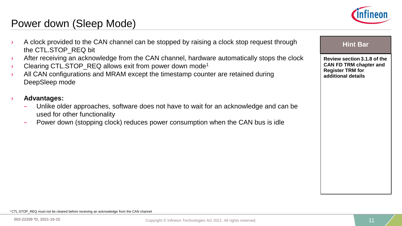

### Power down (Sleep Mode)

- A clock provided to the CAN channel can be stopped by raising a clock stop request through **Hint Bar** the CTL.STOP\_REQ bit
	- After receiving an acknowledge from the CAN channel, hardware automatically stops the clock
	- Clearing CTL.STOP\_REQ allows exit from power down mode<sup>1</sup>
	- $\lambda$  All CAN configurations and MRAM except the timestamp counter are retained during DeepSleep mode
	- › **Advantages:**
		- Unlike older approaches, software does not have to wait for an acknowledge and can be used for other functionality
		- Power down (stopping clock) reduces power consumption when the CAN bus is idle

**Review section 3.1.8 of the CAN FD TRM chapter and Register TRM for additional details**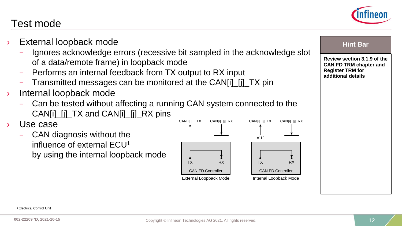

### Test mode

- **External loopback mode** 
	- Ignores acknowledge errors (recessive bit sampled in the acknowledge slot of a data/remote frame) in loopback mode
	- Performs an internal feedback from TX output to RX input
	- Transmitted messages can be monitored at the CAN[i]\_[j]\_TX pin
- Internal loopback mode
	- Can be tested without affecting a running CAN system connected to the CAN[i]\_[j]\_TX and CAN[i]\_[j]\_RX pins
- › Use case
	- CAN diagnosis without the influence of external ECU1 by using the internal loopback mode



### **Hint Bar**

**Review section 3.1.9 of the CAN FD TRM chapter and Register TRM for additional details**

1 Electrical Control Unit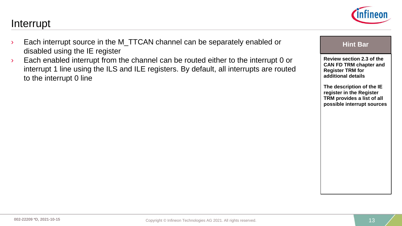**Review section 2.3 of the CAN FD TRM chapter and** 

**Hint Bar** 

**The description of the IE register in the Register TRM provides a list of all possible interrupt sources**

**Register TRM for additional details**

### $\rightarrow$  Each interrupt source in the M\_TTCAN channel can be separately enabled or disabled using the IE register

 $\rightarrow$  Each enabled interrupt from the channel can be routed either to the interrupt 0 or interrupt 1 line using the ILS and ILE registers. By default, all interrupts are routed to the interrupt 0 line

### Interrupt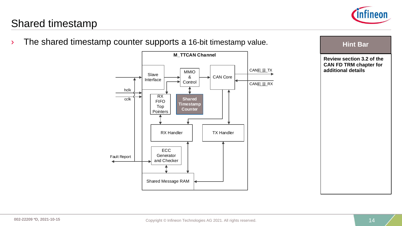

### Shared timestamp

**Review section 3.2 of the CAN FD TRM chapter for additional details he shared timestamp counter supports a 16-bit timestamp value.** The shared timestamp value are the star CAN Core RX Handler Slave Interface MMIO & **Control** TX Handler hclk cclk **M\_TTCAN Channel** RX FIFO Top **Pointers** Shared Message RAM ECC Generator and Checker **Shared Timestamp Counter** Fault Report CAN[i]\_[j]\_TX CAN[i]\_[j]\_RX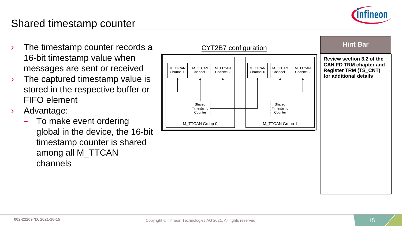

### Shared timestamp counter

- 16-bit timestamp value when messages are sent or received
- $\rightarrow$  The captured timestamp value is stored in the respective buffer or FIFO element
- › Advantage:
	- To make event ordering global in the device, the 16-bit timestamp counter is shared among all M\_TTCAN channels

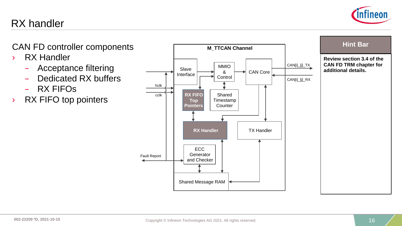# nfineon

### CAN FD controller components **EXAM CONSERVING MATTE AN Channel Hint Bar**

› RX Handler

RX handler

- Acceptance filtering
- Dedicated RX buffers
- RX FIFOs
- › RX FIFO top pointers



**Review section 3.4 of the CAN FD TRM chapter for additional details.**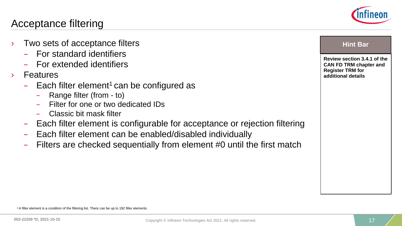

### Acceptance filtering

- **Two sets of acceptance filters** 
	- For standard identifiers
	- For extended identifiers
- › Features
	- $-$  Each filter element<sup>1</sup> can be configured as
		- Range filter (from to)
		- Filter for one or two dedicated IDs
		- Classic bit mask filter
	- Each filter element is configurable for acceptance or rejection filtering
	- Each filter element can be enabled/disabled individually
	- Filters are checked sequentially from element #0 until the first match

**Review section 3.4.1 of the CAN FD TRM chapter and Register TRM for additional details**

1 A filter element is a condition of the filtering list. There can be up to 192 filter elements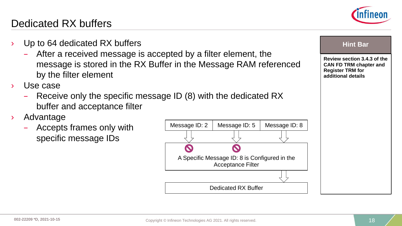### Dedicated RX buffers

- Up to 64 dedicated RX buffers **Hint Bar Hint Bar Hint Bar** 
	- After a received message is accepted by a filter element, the message is stored in the RX Buffer in the Message RAM referenced by the filter element
- Use case
	- Receive only the specific message ID (8) with the dedicated RX buffer and acceptance filter
- › Advantage
	- Accepts frames only with specific message IDs







**Register TRM for additional details**

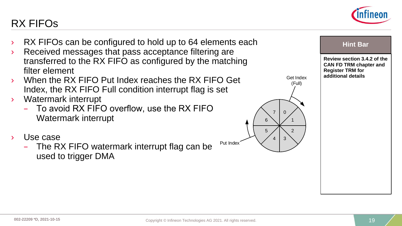**Review section 3.4.2 of the CAN FD TRM chapter and** 

**Register TRM for additional details**

### **EX FIFOs can be configured to hold up to 64 elements each Figure 1. The Bar Containst Example 2. The Bar**

- › Received messages that pass acceptance filtering are transferred to the RX FIFO as configured by the matching filter element
- When the RX FIFO Put Index reaches the RX FIFO Get Index, the RX FIFO Full condition interrupt flag is set
- › Watermark interrupt
	- To avoid RX FIFO overflow, use the RX FIFO Watermark interrupt
- Use case

RX FIFOs

– The RX FIFO watermark interrupt flag can be used to trigger DMA



Put Index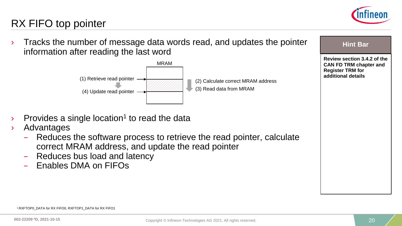

## RX FIFO top pointer

**Find Bar 2** Tracks the number of message data words read, and updates the pointer information after reading the last word



- Provides a single location<sup>1</sup> to read the data
- › Advantages
	- Reduces the software process to retrieve the read pointer, calculate correct MRAM address, and update the read pointer
	- Reduces bus load and latency
	- Enables DMA on FIFOs

| <b>Hint Bar</b>                                                                                               |
|---------------------------------------------------------------------------------------------------------------|
| Review section 3.4.2 of the<br><b>CAN FD TRM chapter and</b><br><b>Register TRM for</b><br>additional details |
|                                                                                                               |

1 RXFTOP0\_DATA for RX FIFO0, RXFTOP1\_DATA for RX FIFO1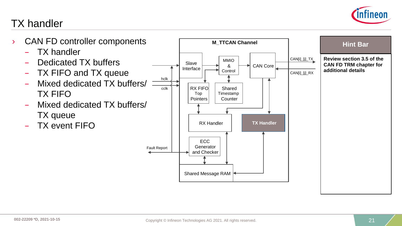

## TX handler

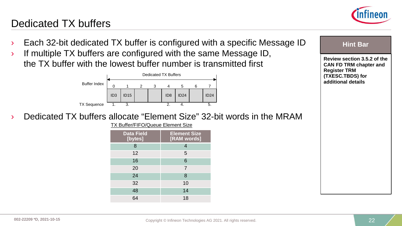

### Dedicated TX buffers

- **Each 32-bit dedicated TX buffer is configured with a specific Message ID Hint Bar Hint Bar**
- $\rightarrow$  If multiple TX buffers are configured with the same Message ID, the TX buffer with the lowest buffer number is transmitted first



› Dedicated TX buffers allocate "Element Size" 32-bit words in the MRAM

TX Buffer/FIFO/Queue Element Size

| <b>Data Field</b><br>[bytes] | <b>Element Size</b><br>[RAM words] |
|------------------------------|------------------------------------|
| 8                            | 4                                  |
| 12                           | 5                                  |
| 16                           | 6                                  |
| 20                           | 7                                  |
| 24                           | 8                                  |
| 32                           | 10                                 |
| 48                           | 14                                 |
| 64                           | 18                                 |

**Review section 3.5.2 of the CAN FD TRM chapter and Register TRM** 

**(TXESC.TBDS) for additional details**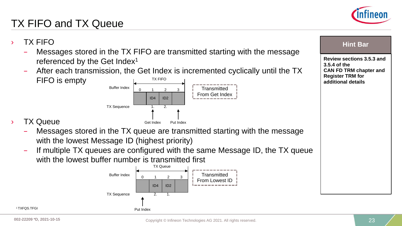

# TX FIFO and TX Queue

- **FIX FIFO Hint Bar** Messages stored in the TX FIFO are transmitted starting with the message referenced by the Get Index<sup>1</sup>
	- After each transmission, the Get Index is incremented cyclically until the TX FIFO is empty TX FIFO



### **TX Queue**

- Messages stored in the TX queue are transmitted starting with the message with the lowest Message ID (highest priority)
- If multiple TX queues are configured with the same Message ID, the TX queue with the lowest buffer number is transmitted first



**Review sections 3.5.3 and 3.5.4 of the CAN FD TRM chapter and Register TRM for additional details**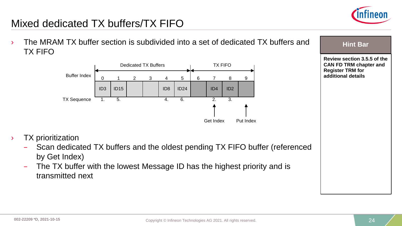

### Mixed dedicated TX buffers/TX FIFO

<sup>></sup> The MRAM TX buffer section is subdivided into a set of dedicated TX buffers and  $\overline{ }$  Hint Bar TX FIFO



**Review section 3.5.5 of the CAN FD TRM chapter and Register TRM for additional details** 

- › TX prioritization
	- Scan dedicated TX buffers and the oldest pending TX FIFO buffer (referenced by Get Index)
	- The TX buffer with the lowest Message ID has the highest priority and is transmitted next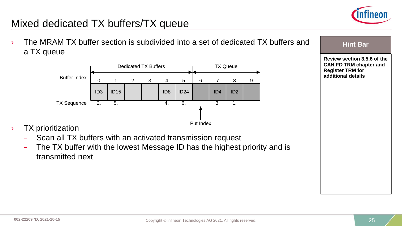

### Mixed dedicated TX buffers/TX queue

<sup>></sup> The MRAM TX buffer section is subdivided into a set of dedicated TX buffers and **Fig. 1** Hint Bar a TX queue



**Review section 3.5.6 of the CAN FD TRM chapter and Register TRM for additional details** 

- › TX prioritization
	- Scan all TX buffers with an activated transmission request
	- The TX buffer with the lowest Message ID has the highest priority and is transmitted next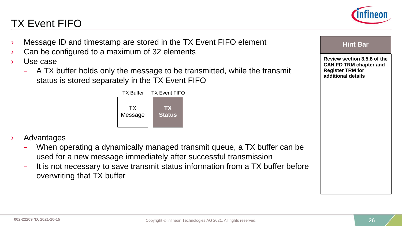# TX Event FIFO



- **Message ID and timestamp are stored in the TX Event FIFO element Example 20** Hint Bar
- Can be configured to a maximum of 32 elements
- Use case
	- A TX buffer holds only the message to be transmitted, while the transmit status is stored separately in the TX Event FIFO



- **Advantages** 
	- When operating a dynamically managed transmit queue, a TX buffer can be used for a new message immediately after successful transmission
	- It is not necessary to save transmit status information from a TX buffer before overwriting that TX buffer

**Review section 3.5.8 of the CAN FD TRM chapter and Register TRM for additional details**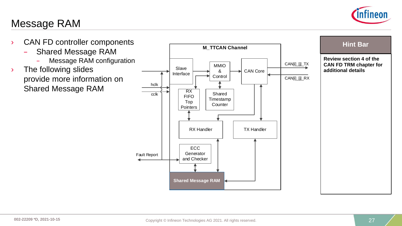

### Message RAM

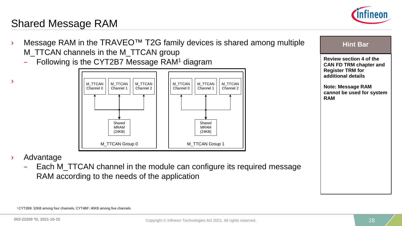

### Shared Message RAM

- Message RAM in the TRAVEO<sup>™</sup> T2G family devices is shared among multiple **Family 1.4 The Family 1.4** Hint Bar M\_TTCAN channels in the M\_TTCAN group
	- Following is the CYT2B7 Message RAM1 diagram



- **Review section 4 of the CAN FD TRM chapter and Register TRM for additional details Note: Message RAM**
- **cannot be used for system RAM**

› Advantage

›

– Each M\_TTCAN channel in the module can configure its required message RAM according to the needs of the application

1 CYT2B9: 32KB among four channels, CYT4BF: 40KB among five channels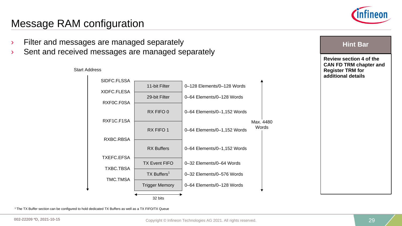

### Message RAM configuration

- Filter and messages are managed separately **Filter and messages are managed separately**
- › Sent and received messages are managed separately



### Start Address

**Review section 4 of the CAN FD TRM chapter and Register TRM for additional details**

1 The TX Buffer section can be configured to hold dedicated TX Buffers as well as a TX FIFO/TX Queue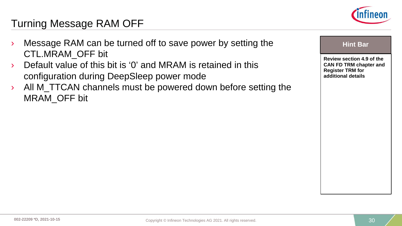

### Turning Message RAM OFF

- Message RAM can be turned off to save power by setting the **Hing Hint Bar Hint Bar** CTL.MRAM\_OFF bit
	- › Default value of this bit is '0' and MRAM is retained in this configuration during DeepSleep power mode
	- › All M\_TTCAN channels must be powered down before setting the MRAM\_OFF bit

**Review section 4.9 of the CAN FD TRM chapter and Register TRM for additional details**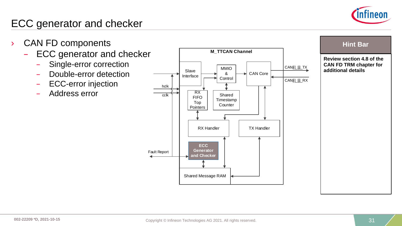

### ECC generator and checker

- - ECC generator and checker
		- Single-error correction
		- Double-error detection
		- ECC-error injection
		- Address error



**Review section 4.8 of the CAN FD TRM chapter for additional details**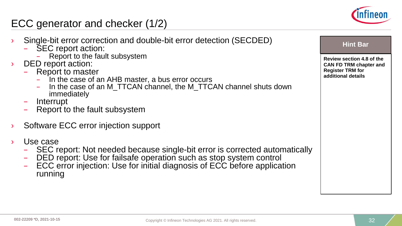

### ECC generator and checker (1/2)

- Single-bit error correction and double-bit error detection (SECDED) and all the Bar and Hint Bar and SEC report action:
	- - Report to the fault subsystem
- DED report action:
	- - Report to master<br>- In the case of an AHB master, a bus error occurs
		- $-$  In the case of an M TTCAN channel, the M TTCAN channel shuts down immediately
	-
	- Interrupt<br>Report to the fault subsystem
- Software ECC error injection support
- 
- > Use case<br>
SEC report: Not needed because single-bit error is corrected automatically
	- DED report: Use for failsafe operation such as stop system control<br>ECC error injection: Use for initial diagnosis of ECC before application
	- running



**Review section 4.8 of the CAN FD TRM chapter and Register TRM for additional details**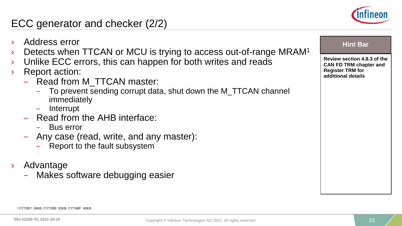

# ECC generator and checker (2/2)

- **Address error Hint Bar Hint Bar**
- Detects when TTCAN or MCU is trying to access out-of-range MRAM<sup>1</sup>
- Unlike ECC errors, this can happen for both writes and reads
- **Report action:** 
	- Read from M\_TTCAN master:
		- To prevent sending corrupt data, shut down the M\_TTCAN channel immediately
		- Interrupt
	- Read from the AHB interface:
		- Bus error
	- Any case (read, write, and any master):
		- Report to the fault subsystem
- › Advantage
	- Makes software debugging easier

|--|--|

**Review section 4.8.3 of the CAN FD TRM chapter and Register TRM for additional details**

<sup>1</sup> CYT2B7: 24KB, CYT2B9: 32KB, CYT4BF: 40KB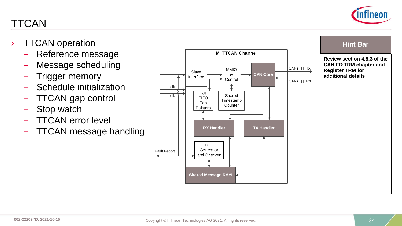

TTCAN

- Reference message
- Message scheduling
- Trigger memory
- Schedule initialization
- TTCAN gap control
- Stop watch
- TTCAN error level
- TTCAN message handling



**Review section 4.8.3 of the CAN FD TRM chapter and Register TRM for additional details**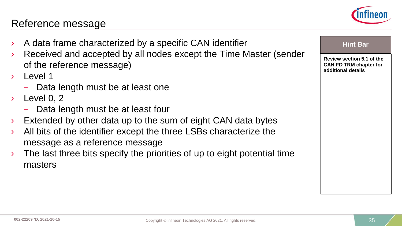### Reference message

- A data frame characterized by a specific CAN identifier **Hind Bar Hint Bar**
- › Received and accepted by all nodes except the Time Master (sender of the reference message)
- › Level 1
	- Data length must be at least one
- $\angle$  Level 0, 2
	- Data length must be at least four
- Extended by other data up to the sum of eight CAN data bytes
- $\lambda$  All bits of the identifier except the three LSBs characterize the message as a reference message
- The last three bits specify the priorities of up to eight potential time masters



**Review section 5.1 of the CAN FD TRM chapter for additional details**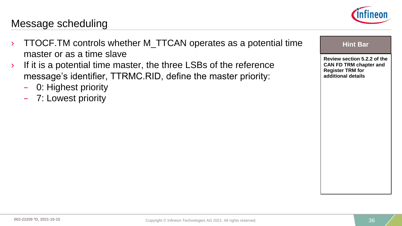

### Message scheduling

- **TTOCF.TM controls whether M\_TTCAN operates as a potential time**  $\qquad$  **Hint Bar** master or as a time slave
- $\rightarrow$  If it is a potential time master, the three LSBs of the reference message's identifier, TTRMC.RID, define the master priority:
	- 0: Highest priority
	- 7: Lowest priority

**Review section 5.2.2 of the CAN FD TRM chapter and Register TRM for additional details**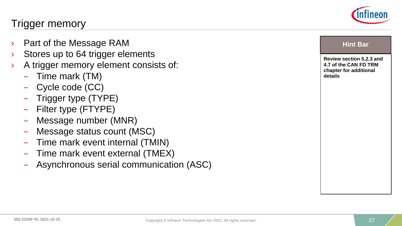

### Trigger memory

- **Part of the Message RAM**
- Stores up to 64 trigger elements
- A trigger memory element consists of:
	- Time mark (TM)
	- Cycle code (CC)
	- Trigger type (TYPE)
	- Filter type (FTYPE)
	- Message number (MNR)
	- Message status count (MSC)
	- Time mark event internal (TMIN)
	- Time mark event external (TMEX)
	- Asynchronous serial communication (ASC)

|--|--|

**Review section 5.2.3 and 4.7 of the CAN FD TRM chapter for additional details**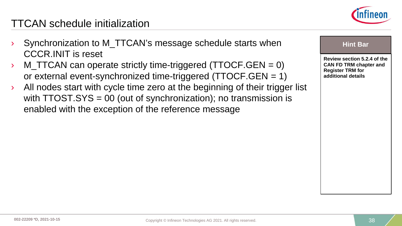

### TTCAN schedule initialization

- Synchronization to M\_TTCAN's message schedule starts when CCCR.INIT is reset
- $\angle$  M\_TTCAN can operate strictly time-triggered (TTOCF.GEN = 0) or external event-synchronized time-triggered (TTOCF.GEN = 1)
- › All nodes start with cycle time zero at the beginning of their trigger list with TTOST.SYS = 00 (out of synchronization); no transmission is enabled with the exception of the reference message

|--|--|

**Review section 5.2.4 of the CAN FD TRM chapter and Register TRM for additional details**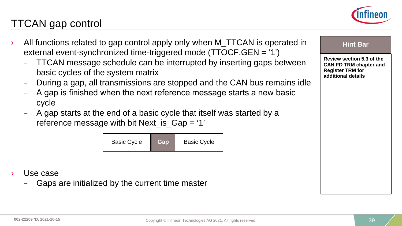

### TTCAN gap control

- All functions related to gap control apply only when M\_TTCAN is operated in **Hint Bar** external event-synchronized time-triggered mode (TTOCF.GEN = '1')
	- TTCAN message schedule can be interrupted by inserting gaps between basic cycles of the system matrix
	- During a gap, all transmissions are stopped and the CAN bus remains idle
	- A gap is finished when the next reference message starts a new basic cycle
	- A gap starts at the end of a basic cycle that itself was started by a reference message with bit Next\_is\_Gap = '1'

| <b>Basic Cycle</b> | Gap | <b>Basic Cycle</b> |
|--------------------|-----|--------------------|
|--------------------|-----|--------------------|

- Use case
	- Gaps are initialized by the current time master

**Review section 5.3 of the CAN FD TRM chapter and Register TRM for additional details**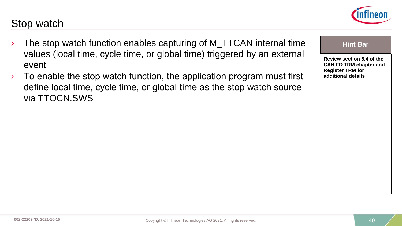### Stop watch

- The stop watch function enables capturing of M\_TTCAN internal time **Hing Hint Bar** values (local time, cycle time, or global time) triggered by an external event
- $\rightarrow$  To enable the stop watch function, the application program must first define local time, cycle time, or global time as the stop watch source via TTOCN.SWS



**Review section 5.4 of the CAN FD TRM chapter and Register TRM for additional details**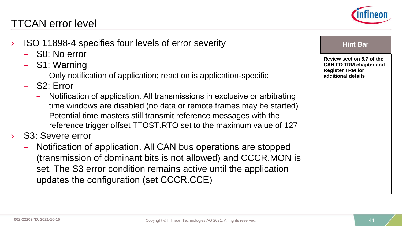### TTCAN error level

- **ISO 11898-4 specifies four levels of error severity Theorem According the Contract Contract Contract Contract Contract Contract Contract Contract Contract Contract Contract Contract Contract Contract Contract Contract Con** 
	- S0: No error
	- S1: Warning
		- Only notification of application; reaction is application-specific
	- S2: Error
		- Notification of application. All transmissions in exclusive or arbitrating time windows are disabled (no data or remote frames may be started)
		- Potential time masters still transmit reference messages with the reference trigger offset TTOST.RTO set to the maximum value of 127
- S<sub>3</sub>: Severe error
	- Notification of application. All CAN bus operations are stopped (transmission of dominant bits is not allowed) and CCCR.MON is set. The S3 error condition remains active until the application updates the configuration (set CCCR.CCE)



**Review section 5.7 of the CAN FD TRM chapter and Register TRM for additional details**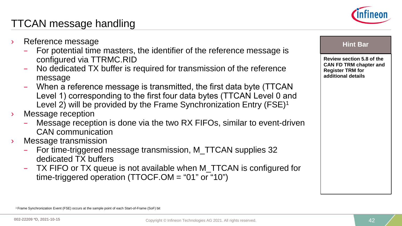

### TTCAN message handling

- Reference message **and a set of the set of the set of the set of the set of the set of the set of the set of the set of the set of the set of the set of the set of the set of the set of the set of the set of the set of the** 
	- For potential time masters, the identifier of the reference message is configured via TTRMC.RID
	- No dedicated TX buffer is required for transmission of the reference message
	- When a reference message is transmitted, the first data byte (TTCAN Level 1) corresponding to the first four data bytes (TTCAN Level 0 and Level 2) will be provided by the Frame Synchronization Entry (FSE)<sup>1</sup>
- › Message reception
	- Message reception is done via the two RX FIFOs, similar to event-driven CAN communication
- › Message transmission
	- For time-triggered message transmission, M\_TTCAN supplies 32 dedicated TX buffers
	- TX FIFO or TX queue is not available when M\_TTCAN is configured for time-triggered operation (TTOCF.OM = "01" or "10")

**Review section 5.8 of the CAN FD TRM chapter and Register TRM for additional details**

<sup>1</sup> Frame Synchronization Event (FSE) occurs at the sample point of each Start-of-Frame (SoF) bit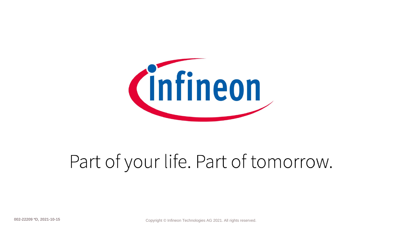

# Part of your life. Part of tomorrow.

**Copyright © Infineon Technologies AG 2021. All rights reserved.** Copyright Copyright C Infineon Technologies AG 2021. All rights reserved.